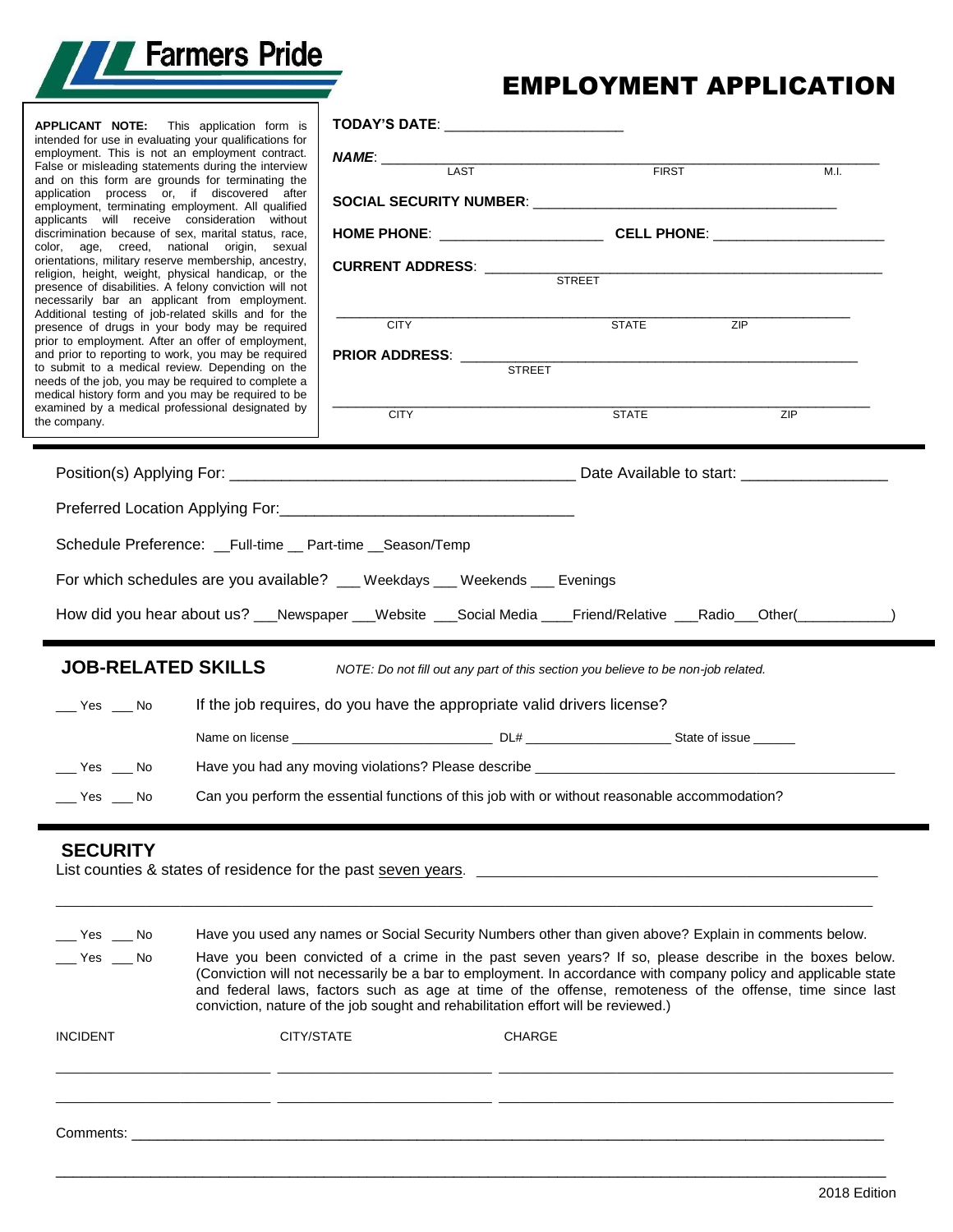

# EMPLOYMENT APPLICATION

| <b>APPLICANT NOTE:</b> This application form is<br>intended for use in evaluating your qualifications for<br>employment. This is not an employment contract.<br>False or misleading statements during the interview<br>and on this form are grounds for terminating the<br>application process or, if discovered after<br>employment, terminating employment. All qualified<br>applicants will receive consideration without<br>discrimination because of sex, marital status, race,<br>color, age, creed, national origin, sexual<br>orientations, military reserve membership, ancestry,<br>religion, height, weight, physical handicap, or the<br>presence of disabilities. A felony conviction will not<br>necessarily bar an applicant from employment.<br>Additional testing of job-related skills and for the<br>presence of drugs in your body may be required<br>prior to employment. After an offer of employment,<br>and prior to reporting to work, you may be required<br>to submit to a medical review. Depending on the<br>needs of the job, you may be required to complete a<br>medical history form and you may be required to be<br>examined by a medical professional designated by<br>the company. | TODAY'S DATE: ________________________<br>LAST<br><b>CITY</b><br><b>CITY</b>                                                                                                                                              | <b>FIRST</b><br><b>STATE</b><br><b>STATE</b> | ZIP<br>ZIP | M.I. |
|-------------------------------------------------------------------------------------------------------------------------------------------------------------------------------------------------------------------------------------------------------------------------------------------------------------------------------------------------------------------------------------------------------------------------------------------------------------------------------------------------------------------------------------------------------------------------------------------------------------------------------------------------------------------------------------------------------------------------------------------------------------------------------------------------------------------------------------------------------------------------------------------------------------------------------------------------------------------------------------------------------------------------------------------------------------------------------------------------------------------------------------------------------------------------------------------------------------------------|---------------------------------------------------------------------------------------------------------------------------------------------------------------------------------------------------------------------------|----------------------------------------------|------------|------|
|                                                                                                                                                                                                                                                                                                                                                                                                                                                                                                                                                                                                                                                                                                                                                                                                                                                                                                                                                                                                                                                                                                                                                                                                                         |                                                                                                                                                                                                                           |                                              |            |      |
|                                                                                                                                                                                                                                                                                                                                                                                                                                                                                                                                                                                                                                                                                                                                                                                                                                                                                                                                                                                                                                                                                                                                                                                                                         |                                                                                                                                                                                                                           |                                              |            |      |
| Schedule Preference: __Full-time __ Part-time __ Season/Temp                                                                                                                                                                                                                                                                                                                                                                                                                                                                                                                                                                                                                                                                                                                                                                                                                                                                                                                                                                                                                                                                                                                                                            |                                                                                                                                                                                                                           |                                              |            |      |
|                                                                                                                                                                                                                                                                                                                                                                                                                                                                                                                                                                                                                                                                                                                                                                                                                                                                                                                                                                                                                                                                                                                                                                                                                         | For which schedules are you available? __ Weekdays __ Weekends __ Evenings                                                                                                                                                |                                              |            |      |
|                                                                                                                                                                                                                                                                                                                                                                                                                                                                                                                                                                                                                                                                                                                                                                                                                                                                                                                                                                                                                                                                                                                                                                                                                         | How did you hear about us? __Newspaper __Website __Social Media ___Friend/Relative ___Radio__Other(__________)                                                                                                            |                                              |            |      |
|                                                                                                                                                                                                                                                                                                                                                                                                                                                                                                                                                                                                                                                                                                                                                                                                                                                                                                                                                                                                                                                                                                                                                                                                                         |                                                                                                                                                                                                                           |                                              |            |      |
| <b>JOB-RELATED SKILLS</b>                                                                                                                                                                                                                                                                                                                                                                                                                                                                                                                                                                                                                                                                                                                                                                                                                                                                                                                                                                                                                                                                                                                                                                                               | NOTE: Do not fill out any part of this section you believe to be non-job related.                                                                                                                                         |                                              |            |      |
| $\rule{1em}{0.15mm}$ Yes $\rule{1em}{0.15mm}$ No                                                                                                                                                                                                                                                                                                                                                                                                                                                                                                                                                                                                                                                                                                                                                                                                                                                                                                                                                                                                                                                                                                                                                                        | If the job requires, do you have the appropriate valid drivers license?                                                                                                                                                   |                                              |            |      |
|                                                                                                                                                                                                                                                                                                                                                                                                                                                                                                                                                                                                                                                                                                                                                                                                                                                                                                                                                                                                                                                                                                                                                                                                                         |                                                                                                                                                                                                                           |                                              |            |      |
| $Yes$ Mo                                                                                                                                                                                                                                                                                                                                                                                                                                                                                                                                                                                                                                                                                                                                                                                                                                                                                                                                                                                                                                                                                                                                                                                                                | Have you had any moving violations? Please describe _____________________________                                                                                                                                         |                                              |            |      |
| $\rule{1em}{0.15mm}$ Yes $\rule{1em}{0.15mm}$ No                                                                                                                                                                                                                                                                                                                                                                                                                                                                                                                                                                                                                                                                                                                                                                                                                                                                                                                                                                                                                                                                                                                                                                        | Can you perform the essential functions of this job with or without reasonable accommodation?                                                                                                                             |                                              |            |      |
| <b>SECURITY</b><br>List counties & states of residence for the past seven years.                                                                                                                                                                                                                                                                                                                                                                                                                                                                                                                                                                                                                                                                                                                                                                                                                                                                                                                                                                                                                                                                                                                                        |                                                                                                                                                                                                                           |                                              |            |      |
| $\rule{1em}{0.15mm}$ Yes $\rule{1em}{0.15mm}$ No                                                                                                                                                                                                                                                                                                                                                                                                                                                                                                                                                                                                                                                                                                                                                                                                                                                                                                                                                                                                                                                                                                                                                                        | Have you used any names or Social Security Numbers other than given above? Explain in comments below.                                                                                                                     |                                              |            |      |
| $\rule{1em}{0.15mm}$ Yes $\rule{1em}{0.15mm}$ No                                                                                                                                                                                                                                                                                                                                                                                                                                                                                                                                                                                                                                                                                                                                                                                                                                                                                                                                                                                                                                                                                                                                                                        | Have you been convicted of a crime in the past seven years? If so, please describe in the boxes below.<br>(Conviction will not necessarily be a bar to employment. In accordance with company policy and applicable state |                                              |            |      |

| conviction, nature of the job sought and rehabilitation effort will be reviewed.) |            |               |  |  |
|-----------------------------------------------------------------------------------|------------|---------------|--|--|
| <b>INCIDENT</b>                                                                   | CITY/STATE | <b>CHARGE</b> |  |  |
|                                                                                   |            |               |  |  |
|                                                                                   |            |               |  |  |
|                                                                                   |            |               |  |  |
| Comments:                                                                         |            |               |  |  |

\_\_\_\_\_\_\_\_\_\_\_\_\_\_\_\_\_\_\_\_\_\_\_\_\_\_\_\_\_\_\_\_\_\_\_\_\_\_\_\_\_\_\_\_\_\_\_\_\_\_\_\_\_\_\_\_\_\_\_\_\_\_\_\_\_\_\_\_\_\_\_\_\_\_\_\_\_\_\_\_\_\_\_\_\_\_\_\_\_\_\_\_\_\_\_\_

and federal laws, factors such as age at time of the offense, remoteness of the offense, time since last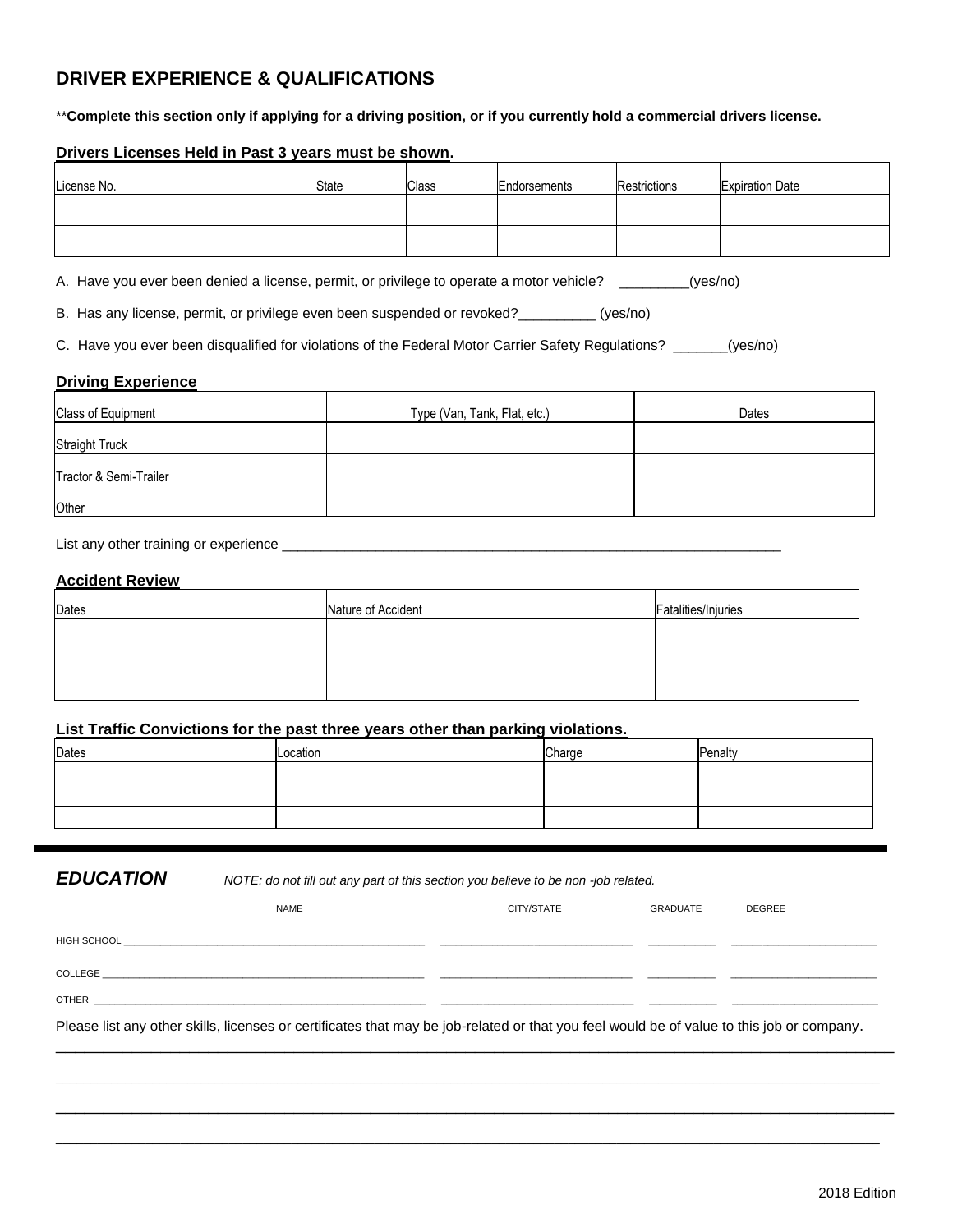## **DRIVER EXPERIENCE & QUALIFICATIONS**

\*\***Complete this section only if applying for a driving position, or if you currently hold a commercial drivers license.**

### **Drivers Licenses Held in Past 3 years must be shown.**

| License No. | State | <b>Class</b> | Endorsements | Restrictions | <b>Expiration Date</b> |
|-------------|-------|--------------|--------------|--------------|------------------------|
|             |       |              |              |              |                        |
|             |       |              |              |              |                        |

A. Have you ever been denied a license, permit, or privilege to operate a motor vehicle? \_\_\_\_\_\_\_\_(yes/no)

B. Has any license, permit, or privilege even been suspended or revoked?\_\_\_\_\_\_\_\_\_\_ (yes/no)

C. Have you ever been disqualified for violations of the Federal Motor Carrier Safety Regulations? \_\_\_\_\_\_\_(yes/no)

#### **Driving Experience**

| Class of Equipment     | Type (Van, Tank, Flat, etc.) | Dates |
|------------------------|------------------------------|-------|
| <b>Straight Truck</b>  |                              |       |
| Tractor & Semi-Trailer |                              |       |
| Other                  |                              |       |

List any other training or experience \_\_\_\_\_\_\_\_\_\_\_\_\_\_\_\_\_\_\_\_\_\_\_\_\_\_\_\_\_\_\_\_\_\_\_\_\_\_\_\_\_\_\_\_\_\_\_\_\_\_\_\_\_\_\_\_\_\_\_\_\_\_\_\_

#### **Accident Review**

| Dates | Nature of Accident | Fatalities/Injuries |
|-------|--------------------|---------------------|
|       |                    |                     |
|       |                    |                     |
|       |                    |                     |

## **List Traffic Convictions for the past three years other than parking violations.**

| Dates | Location | Charge | Penalty |
|-------|----------|--------|---------|
|       |          |        |         |
|       |          |        |         |
|       |          |        |         |
|       |          |        |         |

*EDUCATION NOTE: do not fill out any part of this section you believe to be non -job related.* 

| <b>NAME</b>                                                                                                                               | CITY/STATE | GRADUATE | <b>DEGREE</b> |
|-------------------------------------------------------------------------------------------------------------------------------------------|------------|----------|---------------|
|                                                                                                                                           |            |          |               |
| COLLEGE                                                                                                                                   |            |          |               |
| OTHER <b>STATES AND RESIDENT CONTROL</b>                                                                                                  |            |          |               |
| Please list any other skills, licenses or certificates that may be job-related or that you feel would be of value to this job or company. |            |          |               |

\_\_\_\_\_\_\_\_\_\_\_\_\_\_\_\_\_\_\_\_\_\_\_\_\_\_\_\_\_\_\_\_\_\_\_\_\_\_\_\_\_\_\_\_\_\_\_\_\_\_\_\_\_\_\_\_\_\_\_\_\_\_\_\_\_\_\_\_\_\_\_\_\_\_\_\_\_\_\_\_\_\_\_\_\_\_\_\_\_\_\_\_\_\_\_\_\_\_\_\_\_\_\_\_\_\_\_\_\_\_\_\_\_\_\_\_\_\_\_ \_\_\_\_\_\_\_\_\_\_\_\_\_\_\_\_\_\_\_\_\_\_\_\_\_\_\_\_\_\_\_\_\_\_\_\_\_\_\_\_\_\_\_\_\_\_\_\_\_\_\_\_\_\_\_\_\_\_\_\_\_\_\_\_\_\_\_\_\_\_\_\_\_\_\_\_\_\_\_\_\_\_\_\_\_\_\_\_

\_\_\_\_\_\_\_\_\_\_\_\_\_\_\_\_\_\_\_\_\_\_\_\_\_\_\_\_\_\_\_\_\_\_\_\_\_\_\_\_\_\_\_\_\_\_\_\_\_\_\_\_\_\_\_\_\_\_\_\_\_\_\_\_\_\_\_\_\_\_\_\_\_\_\_\_\_\_\_\_\_\_\_\_\_\_\_\_\_\_\_\_\_\_\_\_\_\_\_\_\_\_\_\_\_\_\_\_\_\_\_\_\_\_\_\_\_\_\_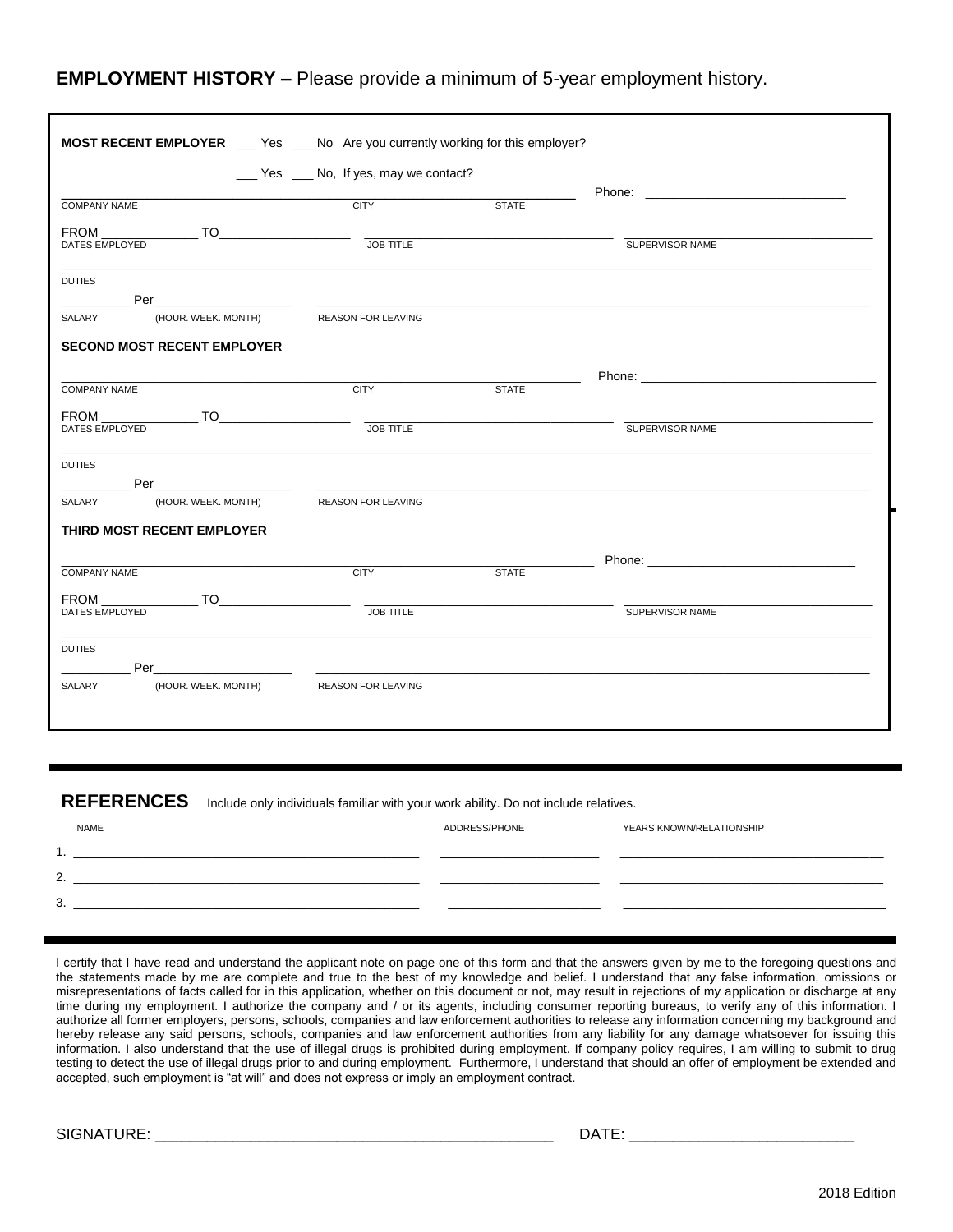## **EMPLOYMENT HISTORY –** Please provide a minimum of 5-year employment history.

| <b>MOST RECENT EMPLOYER</b> ___ Yes ___ No Are you currently working for this employer? |                                                                                                                                                 |              |                                                                                                                                                                                                                                |
|-----------------------------------------------------------------------------------------|-------------------------------------------------------------------------------------------------------------------------------------------------|--------------|--------------------------------------------------------------------------------------------------------------------------------------------------------------------------------------------------------------------------------|
|                                                                                         | __ Yes _ No, If yes, may we contact?                                                                                                            |              |                                                                                                                                                                                                                                |
| <b>COMPANY NAME</b>                                                                     | <b>CITY</b>                                                                                                                                     | <b>STATE</b> |                                                                                                                                                                                                                                |
| DATES EMPLOYED                                                                          | JOB TITLE                                                                                                                                       |              | SUPERVISOR NAME                                                                                                                                                                                                                |
| <b>DUTIES</b>                                                                           |                                                                                                                                                 |              |                                                                                                                                                                                                                                |
| Per__________________________<br>(HOUR. WEEK. MONTH)<br>SALARY                          | <u> 2000 - Jan James James Jan James James James James James James James James James James James James James James Ja</u><br>REASON FOR LEAVING |              |                                                                                                                                                                                                                                |
|                                                                                         |                                                                                                                                                 |              |                                                                                                                                                                                                                                |
| <b>SECOND MOST RECENT EMPLOYER</b>                                                      |                                                                                                                                                 |              |                                                                                                                                                                                                                                |
| <b>COMPANY NAME</b>                                                                     | <b>CITY</b>                                                                                                                                     | <b>STATE</b> | Phone: Note: Note: Note: Note: Note: Note: Note: Note: Note: Note: Note: Note: Note: Note: Note: Note: Note: Note: Note: Note: Note: Note: Note: Note: Note: Note: Note: Note: Note: Note: Note: Note: Note: Note: Note: Note: |
|                                                                                         |                                                                                                                                                 |              |                                                                                                                                                                                                                                |
| DATES EMPLOYED                                                                          | <b>JOB TITLE</b>                                                                                                                                |              | SUPERVISOR NAME                                                                                                                                                                                                                |
| <b>DUTIES</b>                                                                           |                                                                                                                                                 |              |                                                                                                                                                                                                                                |
|                                                                                         |                                                                                                                                                 |              |                                                                                                                                                                                                                                |
| (HOUR. WEEK. MONTH) REASON FOR LEAVING<br>SALARY                                        |                                                                                                                                                 |              |                                                                                                                                                                                                                                |
| THIRD MOST RECENT EMPLOYER                                                              |                                                                                                                                                 |              |                                                                                                                                                                                                                                |
|                                                                                         |                                                                                                                                                 |              |                                                                                                                                                                                                                                |
| <b>COMPANY NAME</b>                                                                     | <b>CITY</b>                                                                                                                                     | <b>STATE</b> |                                                                                                                                                                                                                                |
| DATES EMPLOYED                                                                          | <b>JOB TITLE</b>                                                                                                                                |              | SUPERVISOR NAME                                                                                                                                                                                                                |
| <b>DUTIES</b>                                                                           |                                                                                                                                                 |              |                                                                                                                                                                                                                                |
| (HOUR. WEEK. MONTH)                                                                     | <b>REASON FOR LEAVING</b>                                                                                                                       |              |                                                                                                                                                                                                                                |

**REFERENCES** Include only individuals familiar with your work ability. Do not include relatives.

| <b>NAME</b> | ADDRESS/PHONE | YEARS KNOWN/RELATIONSHIP |
|-------------|---------------|--------------------------|
| o           |               |                          |
| ົ<br>۷.     |               |                          |
| C<br>J.     |               |                          |
|             |               |                          |

I certify that I have read and understand the applicant note on page one of this form and that the answers given by me to the foregoing questions and the statements made by me are complete and true to the best of my knowledge and belief. I understand that any false information, omissions or misrepresentations of facts called for in this application, whether on this document or not, may result in rejections of my application or discharge at any time during my employment. I authorize the company and / or its agents, including consumer reporting bureaus, to verify any of this information. I authorize all former employers, persons, schools, companies and law enforcement authorities to release any information concerning my background and hereby release any said persons, schools, companies and law enforcement authorities from any liability for any damage whatsoever for issuing this information. I also understand that the use of illegal drugs is prohibited during employment. If company policy requires, I am willing to submit to drug testing to detect the use of illegal drugs prior to and during employment. Furthermore, I understand that should an offer of employment be extended and accepted, such employment is "at will" and does not express or imply an employment contract.

SIGNATURE: \_\_\_\_\_\_\_\_\_\_\_\_\_\_\_\_\_\_\_\_\_\_\_\_\_\_\_\_\_\_\_\_\_\_\_\_\_\_\_\_\_\_\_\_\_\_ DATE: \_\_\_\_\_\_\_\_\_\_\_\_\_\_\_\_\_\_\_\_\_\_\_\_\_\_